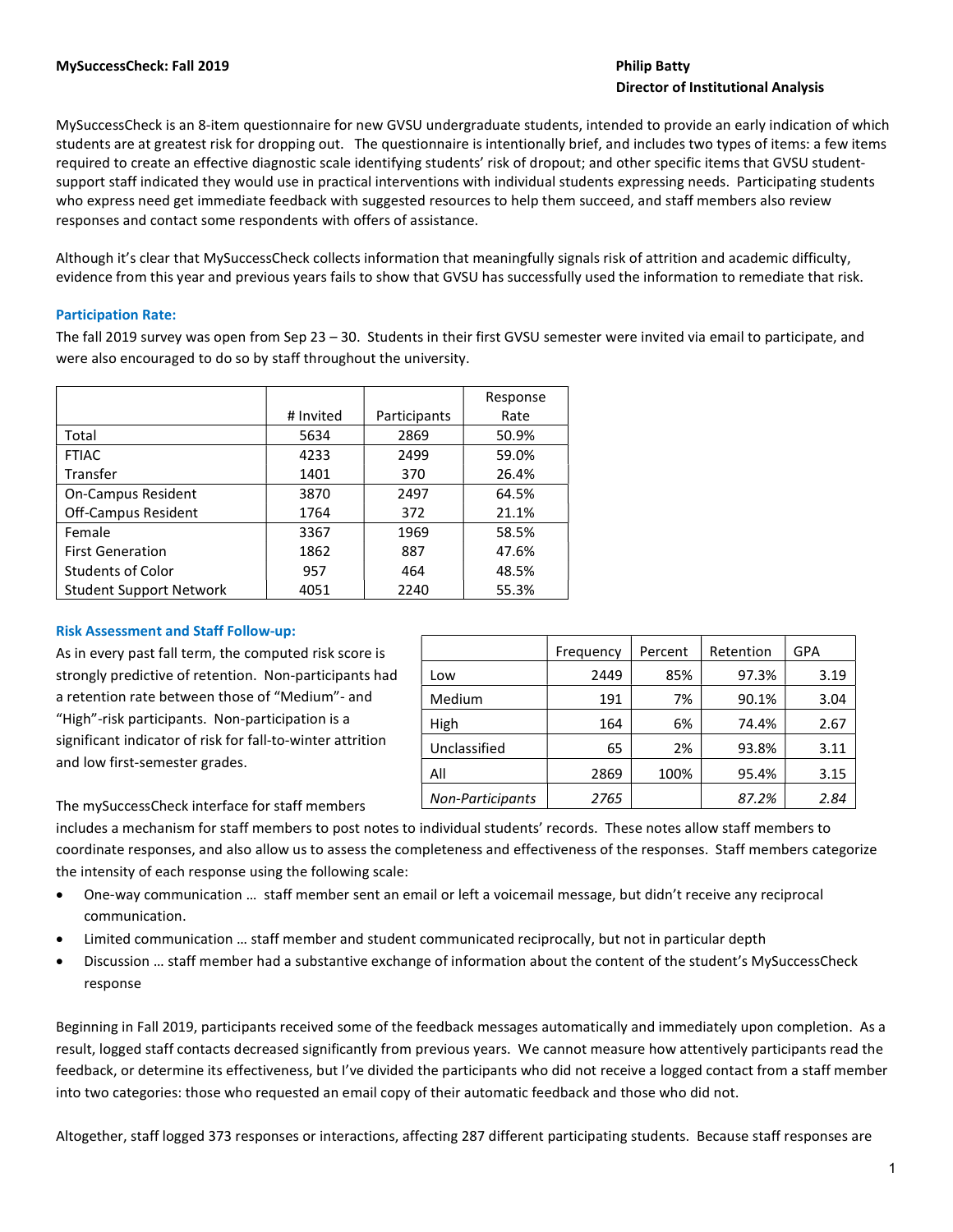# Director of Institutional Analysis

MySuccessCheck is an 8-item questionnaire for new GVSU undergraduate students, intended to provide an early indication of which students are at greatest risk for dropping out. The questionnaire is intentionally brief, and includes two types of items: a few items required to create an effective diagnostic scale identifying students' risk of dropout; and other specific items that GVSU studentsupport staff indicated they would use in practical interventions with individual students expressing needs. Participating students who express need get immediate feedback with suggested resources to help them succeed, and staff members also review responses and contact some respondents with offers of assistance.

Although it's clear that MySuccessCheck collects information that meaningfully signals risk of attrition and academic difficulty, evidence from this year and previous years fails to show that GVSU has successfully used the information to remediate that risk.

## Participation Rate:

The fall 2019 survey was open from Sep 23 – 30. Students in their first GVSU semester were invited via email to participate, and were also encouraged to do so by staff throughout the university.

|                                |           |              | Response |
|--------------------------------|-----------|--------------|----------|
|                                | # Invited | Participants | Rate     |
| Total                          | 5634      | 2869         | 50.9%    |
| <b>FTIAC</b>                   | 4233      | 2499         | 59.0%    |
| Transfer                       | 1401      | 370          | 26.4%    |
| <b>On-Campus Resident</b>      | 3870      | 2497         | 64.5%    |
| <b>Off-Campus Resident</b>     | 1764      | 372          | 21.1%    |
| Female                         | 3367      | 1969         | 58.5%    |
| <b>First Generation</b>        | 1862      | 887          | 47.6%    |
| <b>Students of Color</b>       | 957       | 464          | 48.5%    |
| <b>Student Support Network</b> | 4051      | 2240         | 55.3%    |

## Risk Assessment and Staff Follow-up:

As in every past fall term, the computed risk score is strongly predictive of retention. Non-participants had a retention rate between those of "Medium"- and "High"-risk participants. Non-participation is a significant indicator of risk for fall-to-winter attrition and low first-semester grades.

|                  | Frequency | Percent | Retention | GPA  |
|------------------|-----------|---------|-----------|------|
| Low              | 2449      | 85%     | 97.3%     | 3.19 |
| Medium           | 191       | 7%      | 90.1%     | 3.04 |
| High             | 164       | 6%      | 74.4%     | 2.67 |
| Unclassified     | 65        | 2%      | 93.8%     | 3.11 |
| All              | 2869      | 100%    | 95.4%     | 3.15 |
| Non-Participants | 2765      |         | 87.2%     | 2.84 |

The mySuccessCheck interface for staff members

includes a mechanism for staff members to post notes to individual students' records. These notes allow staff members to coordinate responses, and also allow us to assess the completeness and effectiveness of the responses. Staff members categorize the intensity of each response using the following scale:

- One-way communication … staff member sent an email or left a voicemail message, but didn't receive any reciprocal communication.
- Limited communication … staff member and student communicated reciprocally, but not in particular depth
- Discussion … staff member had a substantive exchange of information about the content of the student's MySuccessCheck response

Beginning in Fall 2019, participants received some of the feedback messages automatically and immediately upon completion. As a result, logged staff contacts decreased significantly from previous years. We cannot measure how attentively participants read the feedback, or determine its effectiveness, but I've divided the participants who did not receive a logged contact from a staff member into two categories: those who requested an email copy of their automatic feedback and those who did not.

Altogether, staff logged 373 responses or interactions, affecting 287 different participating students. Because staff responses are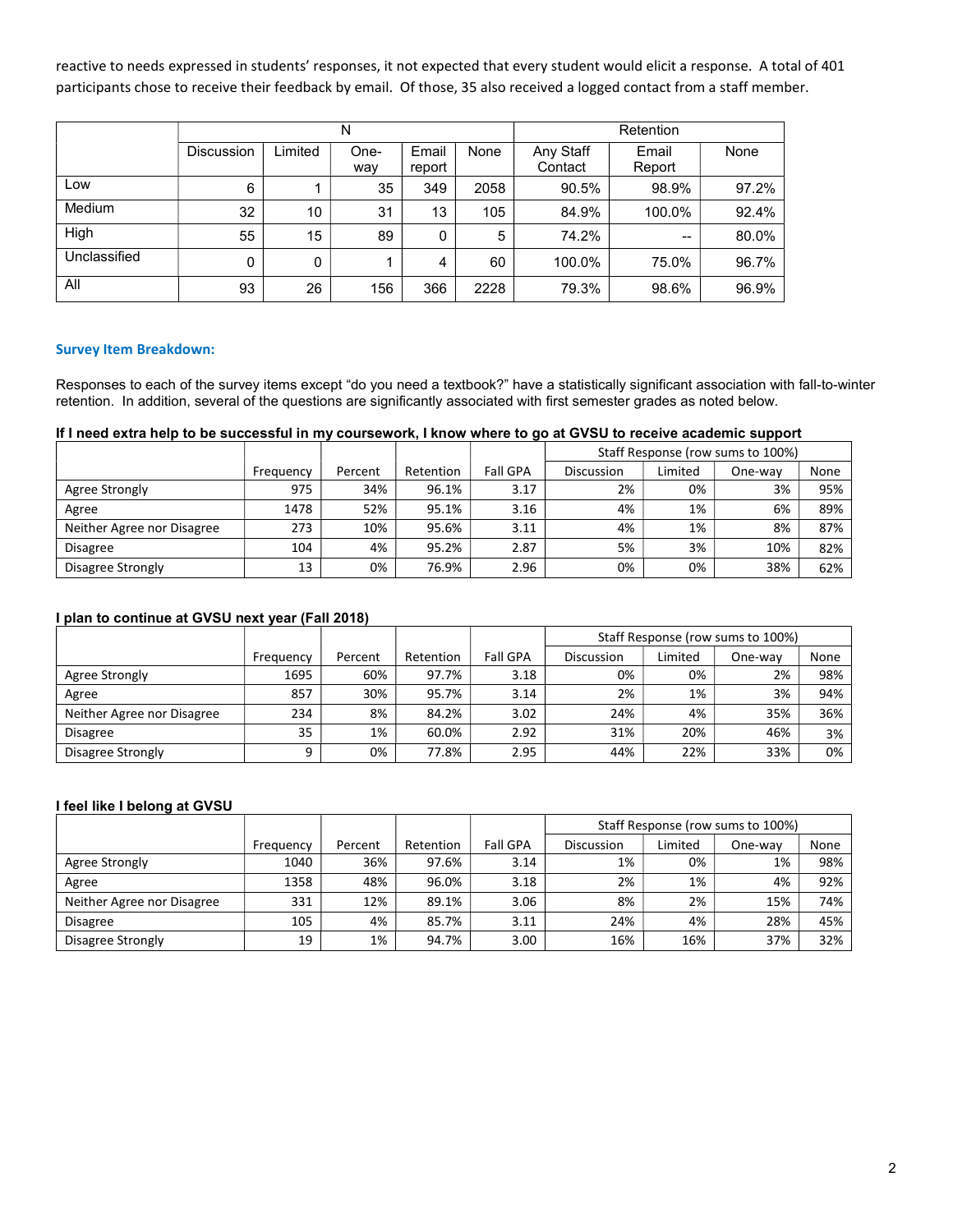reactive to needs expressed in students' responses, it not expected that every student would elicit a response. A total of 401 participants chose to receive their feedback by email. Of those, 35 also received a logged contact from a staff member.

|              |                   |         | N           |                 | Retention |                      |                 |       |
|--------------|-------------------|---------|-------------|-----------------|-----------|----------------------|-----------------|-------|
|              | <b>Discussion</b> | Limited | One-<br>way | Email<br>report | None      | Any Staff<br>Contact | Email<br>Report | None  |
| Low          | 6                 |         | 35          | 349             | 2058      | 90.5%                | 98.9%           | 97.2% |
| Medium       | 32                | 10      | 31          | 13              | 105       | 84.9%                | 100.0%          | 92.4% |
| High         | 55                | 15      | 89          | 0               | 5         | 74.2%                | $\qquad \qquad$ | 80.0% |
| Unclassified | 0                 | 0       |             | 4               | 60        | 100.0%               | 75.0%           | 96.7% |
| All          | 93                | 26      | 156         | 366             | 2228      | 79.3%                | 98.6%           | 96.9% |

#### Survey Item Breakdown:

Responses to each of the survey items except "do you need a textbook?" have a statistically significant association with fall-to-winter retention. In addition, several of the questions are significantly associated with first semester grades as noted below.

# If I need extra help to be successful in my coursework, I know where to go at GVSU to receive academic support

|                            |           |         |           |                 | Staff Response (row sums to 100%) |         |         |      |
|----------------------------|-----------|---------|-----------|-----------------|-----------------------------------|---------|---------|------|
|                            | Freguency | Percent | Retention | <b>Fall GPA</b> | Discussion                        | Limited | One-wav | None |
| Agree Strongly             | 975       | 34%     | 96.1%     | 3.17            | 2%                                | 0%      | 3%      | 95%  |
| Agree                      | 1478      | 52%     | 95.1%     | 3.16            | 4%                                | 1%      | 6%      | 89%  |
| Neither Agree nor Disagree | 273       | 10%     | 95.6%     | 3.11            | 4%                                | 1%      | 8%      | 87%  |
| <b>Disagree</b>            | 104       | 4%      | 95.2%     | 2.87            | 5%                                | 3%      | 10%     | 82%  |
| Disagree Strongly          | 13        | 0%      | 76.9%     | 2.96            | 0%                                | 0%      | 38%     | 62%  |

### I plan to continue at GVSU next year (Fall 2018)

|                            |           |         |           |                 | Staff Response (row sums to 100%) |         |         |      |
|----------------------------|-----------|---------|-----------|-----------------|-----------------------------------|---------|---------|------|
|                            | Freguency | Percent | Retention | <b>Fall GPA</b> | <b>Discussion</b>                 | Limited | One-way | None |
| Agree Strongly             | 1695      | 60%     | 97.7%     | 3.18            | 0%                                | 0%      | 2%      | 98%  |
| Agree                      | 857       | 30%     | 95.7%     | 3.14            | 2%                                | 1%      | 3%      | 94%  |
| Neither Agree nor Disagree | 234       | 8%      | 84.2%     | 3.02            | 24%                               | 4%      | 35%     | 36%  |
| <b>Disagree</b>            | 35        | 1%      | 60.0%     | 2.92            | 31%                               | 20%     | 46%     | 3%   |
| Disagree Strongly          | 9         | 0%      | 77.8%     | 2.95            | 44%                               | 22%     | 33%     | 0%   |

#### I feel like I belong at GVSU

|                            |           |         |           |                 | Staff Response (row sums to 100%) |         |         |      |
|----------------------------|-----------|---------|-----------|-----------------|-----------------------------------|---------|---------|------|
|                            | Frequency | Percent | Retention | <b>Fall GPA</b> | Discussion                        | Limited | One-wav | None |
| Agree Strongly             | 1040      | 36%     | 97.6%     | 3.14            | 1%                                | 0%      | 1%      | 98%  |
| Agree                      | 1358      | 48%     | 96.0%     | 3.18            | 2%                                | 1%      | 4%      | 92%  |
| Neither Agree nor Disagree | 331       | 12%     | 89.1%     | 3.06            | 8%                                | 2%      | 15%     | 74%  |
| <b>Disagree</b>            | 105       | 4%      | 85.7%     | 3.11            | 24%                               | 4%      | 28%     | 45%  |
| Disagree Strongly          | 19        | 1%      | 94.7%     | 3.00            | 16%                               | 16%     | 37%     | 32%  |